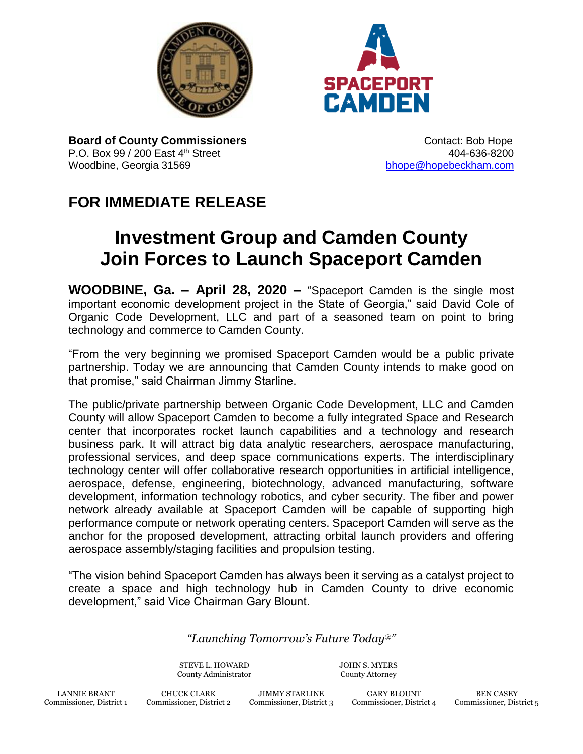



**Board of County Commissioners CONTER 1999** Contact: Bob Hope P.O. Box 99 / 200 East 4<sup>th</sup> Street **404-636-8200** 404-636-8200 Woodbine, Georgia 31569 [bhope@hopebeckham.com](mailto:bhope@hopebeckham.com)

## **FOR IMMEDIATE RELEASE**

## **Investment Group and Camden County Join Forces to Launch Spaceport Camden**

**WOODBINE, Ga. – April 28, 2020 –** "Spaceport Camden is the single most important economic development project in the State of Georgia," said David Cole of Organic Code Development, LLC and part of a seasoned team on point to bring technology and commerce to Camden County.

"From the very beginning we promised Spaceport Camden would be a public private partnership. Today we are announcing that Camden County intends to make good on that promise," said Chairman Jimmy Starline.

The public/private partnership between Organic Code Development, LLC and Camden County will allow Spaceport Camden to become a fully integrated Space and Research center that incorporates rocket launch capabilities and a technology and research business park. It will attract big data analytic researchers, aerospace manufacturing, professional services, and deep space communications experts. The interdisciplinary technology center will offer collaborative research opportunities in artificial intelligence, aerospace, defense, engineering, biotechnology, advanced manufacturing, software development, information technology robotics, and cyber security. The fiber and power network already available at Spaceport Camden will be capable of supporting high performance compute or network operating centers. Spaceport Camden will serve as the anchor for the proposed development, attracting orbital launch providers and offering aerospace assembly/staging facilities and propulsion testing.

"The vision behind Spaceport Camden has always been it serving as a catalyst project to create a space and high technology hub in Camden County to drive economic development," said Vice Chairman Gary Blount.

*"Launching Tomorrow's Future Today*®*"*

STEVE L. HOWARD County Administrator JOHN S. MYERS County Attorney

CHUCK CLARK Commissioner, District 2

JIMMY STARLINE Commissioner, District 3

GARY BLOUNT Commissioner, District 4

BEN CASEY Commissioner, District 5